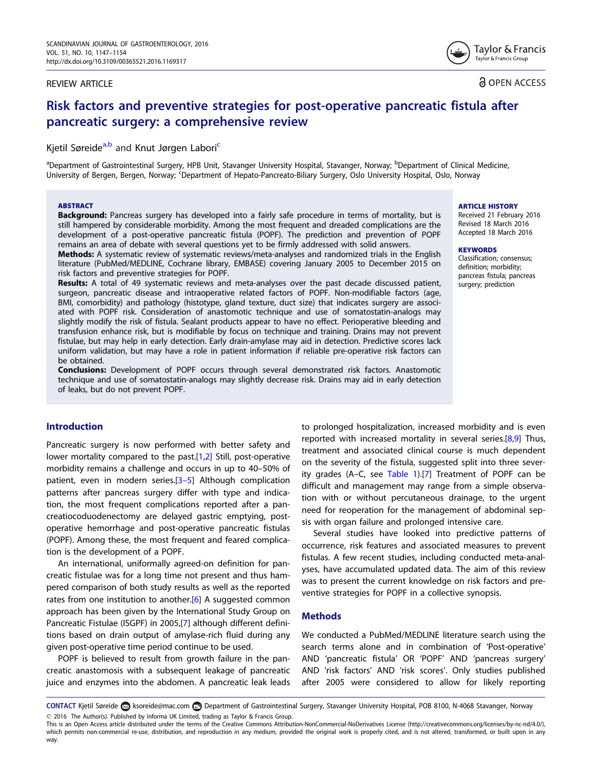## <span id="page-0-0"></span>REVIEW ARTICLE

Tavlor & Francis Taylor & Francis Group

**a** OPEN ACCESS

# Risk factors and preventive strategies for post-operative pancreatic fistula after pancreatic surgery: a comprehensive review

Kjetil Søreide<sup>a,b</sup> and Knut Jørgen Labori<sup>c</sup>

<sup>a</sup>Department of Gastrointestinal Surgery, HPB Unit, Stavanger University Hospital, Stavanger, Norway; <sup>b</sup>Department of Clinical Medicine, University of Bergen, Bergen, Norway; <sup>c</sup>Department of Hepato-Pancreato-Biliary Surgery, Oslo University Hospital, Oslo, Norway

#### ABSTRACT

**Background:** Pancreas surgery has developed into a fairly safe procedure in terms of mortality, but is still hampered by considerable morbidity. Among the most frequent and dreaded complications are the development of a post-operative pancreatic fistula (POPF). The prediction and prevention of POPF remains an area of debate with several questions yet to be firmly addressed with solid answers.

Methods: A systematic review of systematic reviews/meta-analyses and randomized trials in the English literature (PubMed/MEDLINE, Cochrane library, EMBASE) covering January 2005 to December 2015 on risk factors and preventive strategies for POPF.

Results: A total of 49 systematic reviews and meta-analyses over the past decade discussed patient, surgeon, pancreatic disease and intraoperative related factors of POPF. Non-modifiable factors (age, BMI, comorbidity) and pathology (histotype, gland texture, duct size) that indicates surgery are associated with POPF risk. Consideration of anastomotic technique and use of somatostatin-analogs may slightly modify the risk of fistula. Sealant products appear to have no effect. Perioperative bleeding and transfusion enhance risk, but is modifiable by focus on technique and training. Drains may not prevent fistulae, but may help in early detection. Early drain-amylase may aid in detection. Predictive scores lack uniform validation, but may have a role in patient information if reliable pre-operative risk factors can be obtained.

**Conclusions:** Development of POPF occurs through several demonstrated risk factors. Anastomotic technique and use of somatostatin-analogs may slightly decrease risk. Drains may aid in early detection of leaks, but do not prevent POPF.

## Introduction

Pancreatic surgery is now performed with better safety and lower mortality compared to the past.[\[1](#page-3-0)[,2\]](#page-4-0) Still, post-operative morbidity remains a challenge and occurs in up to 40–50% of patient, even in modern series.[\[3–5\]](#page-4-0) Although complication patterns after pancreas surgery differ with type and indication, the most frequent complications reported after a pancreatiocoduodenectomy are delayed gastric emptying, postoperative hemorrhage and post-operative pancreatic fistulas (POPF). Among these, the most frequent and feared complication is the development of a POPF.

An international, uniformally agreed-on definition for pancreatic fistulae was for a long time not present and thus hampered comparison of both study results as well as the reported rates from one institution to another.[[6\]](#page-4-0) A suggested common approach has been given by the International Study Group on Pancreatic Fistulae (ISGPF) in 2005,[\[7](#page-4-0)] although different definitions based on drain output of amylase-rich fluid during any given post-operative time period continue to be used.

POPF is believed to result from growth failure in the pancreatic anastomosis with a subsequent leakage of pancreatic juice and enzymes into the abdomen. A pancreatic leak leads to prolonged hospitalization, increased morbidity and is even reported with increased mortality in several series. $[8,9]$  $[8,9]$  $[8,9]$  Thus, treatment and associated clinical course is much dependent on the severity of the fistula, suggested split into three sever-ity grades (A-C, see [Table 1\)](#page-1-0).[\[7\]](#page-4-0) Treatment of POPF can be difficult and management may range from a simple observation with or without percutaneous drainage, to the urgent need for reoperation for the management of abdominal sepsis with organ failure and prolonged intensive care.

Several studies have looked into predictive patterns of occurrence, risk features and associated measures to prevent fistulas. A few recent studies, including conducted meta-analyses, have accumulated updated data. The aim of this review was to present the current knowledge on risk factors and preventive strategies for POPF in a collective synopsis.

## **Methods**

We conducted a PubMed/MEDLINE literature search using the search terms alone and in combination of 'Post-operative' AND 'pancreatic fistula' OR 'POPF' AND 'pancreas surgery' AND 'risk factors' AND 'risk scores'. Only studies published after 2005 were considered to allow for likely reporting

CONTACT Kjetil Søreide <a>
<a>
<a>
<a>
CONTACT Kjetil Søreide <a>
<a>
CONTACT Kjetil Søreide <a>
<a>
CONTACT Kjetil Søreide <a>
<a>
CONTACT Kjetil Søreide <a>
<a>
CONTACT Kjetil Søreide <a>
<a>
CONTACT Kjetil Søreide <a>
C © 2016 The Author(s). Published by Informa UK Limited, trading as Taylor & Francis Group.

This is an Open Access article distributed under the terms of the Creative Commons Attribution-NonCommercial-NoDerivatives License (http://creativecommons.org/licenses/by-nc-nd/4.0/), which permits non-commercial re-use, distribution, and reproduction in any medium, provided the original work is properly cited, and is not altered, transformed, or built upon in any way.

#### ARTICLE HISTORY

Received 21 February 2016 Revised 18 March 2016 Accepted 18 March 2016

#### **KEYWORDS**

Classification; consensus; definition; morbidity; pancreas fistula; pancreas surgery; prediction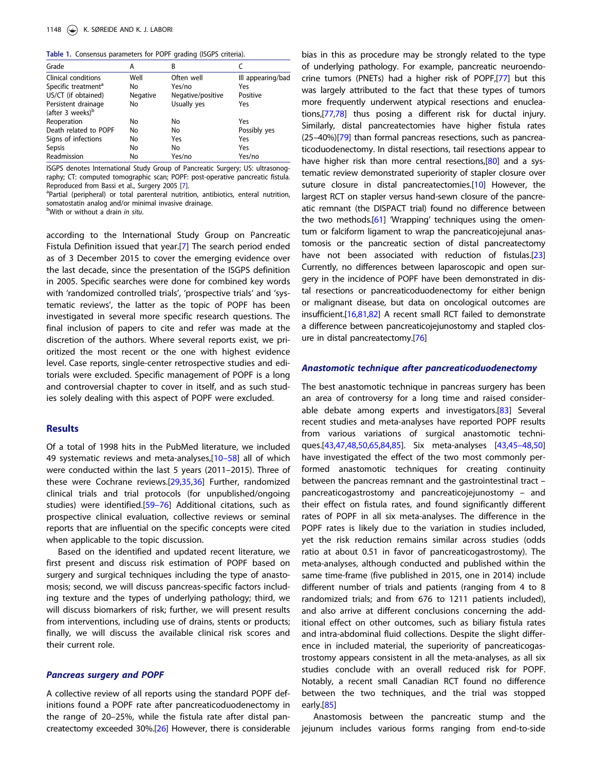<span id="page-1-0"></span>Table 1. Consensus parameters for POPF grading (ISGPS criteria).

| Grade                           | А        | В                 |                   |
|---------------------------------|----------|-------------------|-------------------|
| Clinical conditions             | Well     | Often well        | Ill appearing/bad |
| Specific treatment <sup>a</sup> | No       | Yes/no            | Yes               |
| US/CT (if obtained)             | Negative | Negative/positive | Positive          |
| Persistent drainage             | No       | Usually yes       | Yes               |
| (after 3 weeks) <sup>b</sup>    |          |                   |                   |
| Reoperation                     | No       | No                | Yes               |
| Death related to POPF           | No       | No                | Possibly yes      |
| Signs of infections             | No       | Yes               | Yes               |
| Sepsis                          | No       | No                | Yes               |
| Readmission                     | No       | Yes/no            | Yes/no            |

ISGPS denotes International Study Group of Pancreatic Surgery; US: ultrasonography; CT: computed tomographic scan; POPF: post-operative pancreatic fistula. Reproduced from Bassi et al., Surgery 2005 [\[7](#page-4-0)].

<sup>a</sup>Partial (peripheral) or total parenteral nutrition, antibiotics, enteral nutrition, somatostatin analog and/or minimal invasive drainage.

bWith or without a drain in situ.

according to the International Study Group on Pancreatic Fistula Definition issued that year.[[7\]](#page-4-0) The search period ended as of 3 December 2015 to cover the emerging evidence over the last decade, since the presentation of the ISGPS definition in 2005. Specific searches were done for combined key words with 'randomized controlled trials', 'prospective trials' and 'systematic reviews', the latter as the topic of POPF has been investigated in several more specific research questions. The final inclusion of papers to cite and refer was made at the discretion of the authors. Where several reports exist, we prioritized the most recent or the one with highest evidence level. Case reports, single-center retrospective studies and editorials were excluded. Specific management of POPF is a long and controversial chapter to cover in itself, and as such studies solely dealing with this aspect of POPF were excluded.

#### **Results**

Of a total of 1998 hits in the PubMed literature, we included 49 systematic reviews and meta-analyses,[[10–58](#page-4-0)] all of which were conducted within the last 5 years (2011–2015). Three of these were Cochrane reviews.[\[29](#page-4-0),[35,36](#page-4-0)] Further, randomized clinical trials and trial protocols (for unpublished/ongoing studies) were identified.[[59–76\]](#page-5-0) Additional citations, such as prospective clinical evaluation, collective reviews or seminal reports that are influential on the specific concepts were cited when applicable to the topic discussion.

Based on the identified and updated recent literature, we first present and discuss risk estimation of POPF based on surgery and surgical techniques including the type of anastomosis; second, we will discuss pancreas-specific factors including texture and the types of underlying pathology; third, we will discuss biomarkers of risk; further, we will present results from interventions, including use of drains, stents or products; finally, we will discuss the available clinical risk scores and their current role.

#### Pancreas surgery and POPF

A collective review of all reports using the standard POPF definitions found a POPF rate after pancreaticoduodenectomy in the range of 20–25%, while the fistula rate after distal pancreatectomy exceeded 30%.[\[26\]](#page-4-0) However, there is considerable bias in this as procedure may be strongly related to the type of underlying pathology. For example, pancreatic neuroendocrine tumors (PNETs) had a higher risk of POPF,[\[77\]](#page-5-0) but this was largely attributed to the fact that these types of tumors more frequently underwent atypical resections and enucleations,[[77,78\]](#page-5-0) thus posing a different risk for ductal injury. Similarly, distal pancreatectomies have higher fistula rates (25–40%)[\[79\]](#page-5-0) than formal pancreas resections, such as pancreaticoduodenectomy. In distal resections, tail resections appear to have higher risk than more central resections.<sup>[\[80\]](#page-5-0)</sup> and a systematic review demonstrated superiority of stapler closure over suture closure in distal pancreatectomies.<sup>[\[10\]](#page-4-0)</sup> However, the largest RCT on stapler versus hand-sewn closure of the pancreatic remnant (the DISPACT trial) found no difference between the two methods.<sup>[\[61\]](#page-5-0)</sup> 'Wrapping' techniques using the omentum or falciform ligament to wrap the pancreaticojejunal anastomosis or the pancreatic section of distal pancreatectomy have not been associated with reduction of fistulas.[\[23\]](#page-4-0) Currently, no differences between laparoscopic and open surgery in the incidence of POPF have been demonstrated in distal resections or pancreaticoduodenectomy for either benign or malignant disease, but data on oncological outcomes are insufficient.[\[16,](#page-4-0)[81,82](#page-6-0)] A recent small RCT failed to demonstrate a difference between pancreaticojejunostomy and stapled closure in distal pancreatectomy.[[76](#page-5-0)]

#### Anastomotic technique after pancreaticoduodenectomy

The best anastomotic technique in pancreas surgery has been an area of controversy for a long time and raised consider-able debate among experts and investigators.<sup>[\[83](#page-6-0)]</sup> Several recent studies and meta-analyses have reported POPF results from various variations of surgical anastomotic techniques.[\[43,47,48,50,65,](#page-5-0)[84,85](#page-6-0)]. Six meta-analyses [[43,45–48,50\]](#page-5-0) have investigated the effect of the two most commonly performed anastomotic techniques for creating continuity between the pancreas remnant and the gastrointestinal tract – pancreaticogastrostomy and pancreaticojejunostomy – and their effect on fistula rates, and found significantly different rates of POPF in all six meta-analyses. The difference in the POPF rates is likely due to the variation in studies included, yet the risk reduction remains similar across studies (odds ratio at about 0.51 in favor of pancreaticogastrostomy). The meta-analyses, although conducted and published within the same time-frame (five published in 2015, one in 2014) include different number of trials and patients (ranging from 4 to 8 randomized trials; and from 676 to 1211 patients included), and also arrive at different conclusions concerning the additional effect on other outcomes, such as biliary fistula rates and intra-abdominal fluid collections. Despite the slight difference in included material, the superiority of pancreaticogastrostomy appears consistent in all the meta-analyses, as all six studies conclude with an overall reduced risk for POPF. Notably, a recent small Canadian RCT found no difference between the two techniques, and the trial was stopped early.[\[85\]](#page-6-0)

Anastomosis between the pancreatic stump and the jejunum includes various forms ranging from end-to-side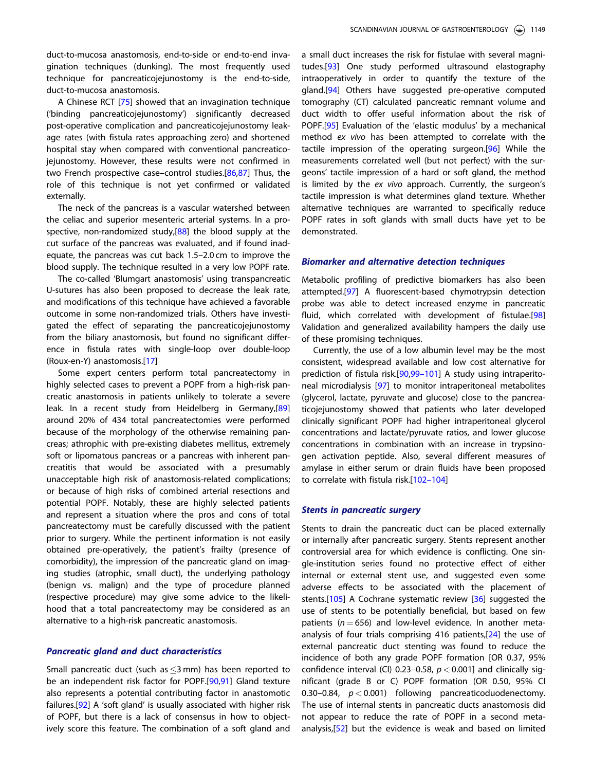<span id="page-2-0"></span>duct-to-mucosa anastomosis, end-to-side or end-to-end invagination techniques (dunking). The most frequently used technique for pancreaticojejunostomy is the end-to-side, duct-to-mucosa anastomosis.

A Chinese RCT [\[75\]](#page-5-0) showed that an invagination technique ('binding pancreaticojejunostomy') significantly decreased post-operative complication and pancreaticojejunostomy leakage rates (with fistula rates approaching zero) and shortened hospital stay when compared with conventional pancreaticojejunostomy. However, these results were not confirmed in two French prospective case–control studies.<sup>[[86,87\]](#page-6-0)</sup> Thus, the role of this technique is not yet confirmed or validated externally.

The neck of the pancreas is a vascular watershed between the celiac and superior mesenteric arterial systems. In a prospective, non-randomized study, $[88]$  $[88]$  $[88]$  the blood supply at the cut surface of the pancreas was evaluated, and if found inadequate, the pancreas was cut back 1.5–2.0 cm to improve the blood supply. The technique resulted in a very low POPF rate.

The co-called 'Blumgart anastomosis' using transpancreatic U-sutures has also been proposed to decrease the leak rate, and modifications of this technique have achieved a favorable outcome in some non-randomized trials. Others have investigated the effect of separating the pancreaticojejunostomy from the biliary anastomosis, but found no significant difference in fistula rates with single-loop over double-loop (Roux-en-Y) anastomosis.[[17\]](#page-4-0)

Some expert centers perform total pancreatectomy in highly selected cases to prevent a POPF from a high-risk pancreatic anastomosis in patients unlikely to tolerate a severe leak. In a recent study from Heidelberg in Germany, [\[89](#page-6-0)] around 20% of 434 total pancreatectomies were performed because of the morphology of the otherwise remaining pancreas; athrophic with pre-existing diabetes mellitus, extremely soft or lipomatous pancreas or a pancreas with inherent pancreatitis that would be associated with a presumably unacceptable high risk of anastomosis-related complications; or because of high risks of combined arterial resections and potential POPF. Notably, these are highly selected patients and represent a situation where the pros and cons of total pancreatectomy must be carefully discussed with the patient prior to surgery. While the pertinent information is not easily obtained pre-operatively, the patient's frailty (presence of comorbidity), the impression of the pancreatic gland on imaging studies (atrophic, small duct), the underlying pathology (benign vs. malign) and the type of procedure planned (respective procedure) may give some advice to the likelihood that a total pancreatectomy may be considered as an alternative to a high-risk pancreatic anastomosis.

## Pancreatic gland and duct characteristics

Small pancreatic duct (such as  $\leq$ 3 mm) has been reported to be an independent risk factor for POPF.[\[90](#page-6-0),[91\]](#page-6-0) Gland texture also represents a potential contributing factor in anastomotic failures.[[92](#page-6-0)] A 'soft gland' is usually associated with higher risk of POPF, but there is a lack of consensus in how to objectively score this feature. The combination of a soft gland and a small duct increases the risk for fistulae with several magnitudes.[\[93\]](#page-6-0) One study performed ultrasound elastography intraoperatively in order to quantify the texture of the gland.[[94](#page-6-0)] Others have suggested pre-operative computed tomography (CT) calculated pancreatic remnant volume and duct width to offer useful information about the risk of POPF.<sup>[\[95\]](#page-6-0)</sup> Evaluation of the 'elastic modulus' by a mechanical method ex vivo has been attempted to correlate with the tactile impression of the operating surgeon.[[96](#page-6-0)] While the measurements correlated well (but not perfect) with the surgeons' tactile impression of a hard or soft gland, the method is limited by the ex vivo approach. Currently, the surgeon's tactile impression is what determines gland texture. Whether alternative techniques are warranted to specifically reduce POPF rates in soft glands with small ducts have yet to be demonstrated.

#### Biomarker and alternative detection techniques

Metabolic profiling of predictive biomarkers has also been attempted.[[97\]](#page-6-0) A fluorescent-based chymotrypsin detection probe was able to detect increased enzyme in pancreatic fluid, which correlated with development of fistulae.[\[98\]](#page-6-0) Validation and generalized availability hampers the daily use of these promising techniques.

Currently, the use of a low albumin level may be the most consistent, widespread available and low cost alternative for prediction of fistula risk.[\[90,99–101\]](#page-6-0) A study using intraperitoneal microdialysis [[97](#page-6-0)] to monitor intraperitoneal metabolites (glycerol, lactate, pyruvate and glucose) close to the pancreaticojejunostomy showed that patients who later developed clinically significant POPF had higher intraperitoneal glycerol concentrations and lactate/pyruvate ratios, and lower glucose concentrations in combination with an increase in trypsinogen activation peptide. Also, several different measures of amylase in either serum or drain fluids have been proposed to correlate with fistula risk.[[102–104\]](#page-6-0)

#### Stents in pancreatic surgery

Stents to drain the pancreatic duct can be placed externally or internally after pancreatic surgery. Stents represent another controversial area for which evidence is conflicting. One single-institution series found no protective effect of either internal or external stent use, and suggested even some adverse effects to be associated with the placement of stents.[[105](#page-6-0)] A Cochrane systematic review [\[36\]](#page-4-0) suggested the use of stents to be potentially beneficial, but based on few patients ( $n = 656$ ) and low-level evidence. In another meta-analysis of four trials comprising 416 patients,[[24\]](#page-4-0) the use of external pancreatic duct stenting was found to reduce the incidence of both any grade POPF formation [OR 0.37, 95% confidence interval (CI) 0.23–0.58,  $p < 0.001$ ] and clinically significant (grade B or C) POPF formation (OR 0.50, 95% CI 0.30–0.84,  $p < 0.001$ ) following pancreaticoduodenectomy. The use of internal stents in pancreatic ducts anastomosis did not appear to reduce the rate of POPF in a second metaanalysis,[[52](#page-5-0)] but the evidence is weak and based on limited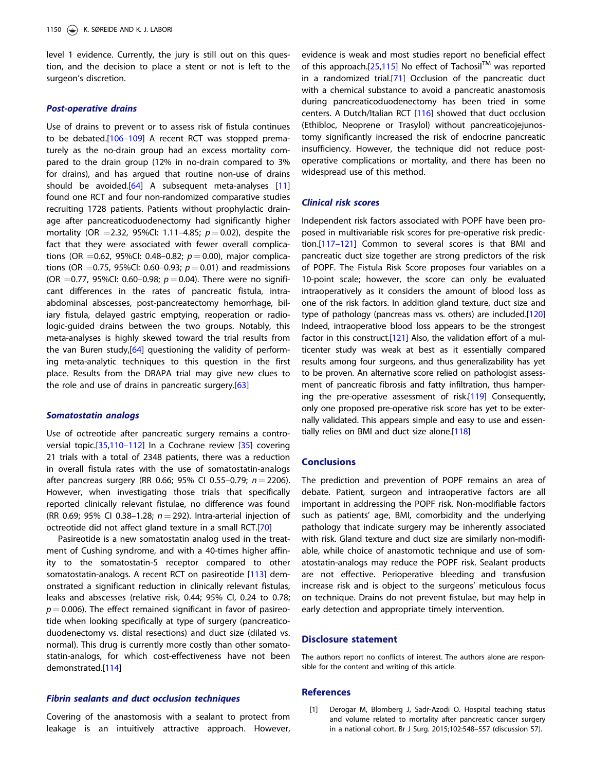<span id="page-3-0"></span>level 1 evidence. Currently, the jury is still out on this question, and the decision to place a stent or not is left to the surgeon's discretion.

#### Post-operative drains

Use of drains to prevent or to assess risk of fistula continues to be debated.[[106–109](#page-6-0)] A recent RCT was stopped prematurely as the no-drain group had an excess mortality compared to the drain group (12% in no-drain compared to 3% for drains), and has argued that routine non-use of drains should be avoided.[\[64\]](#page-5-0) A subsequent meta-analyses [\[11](#page-4-0)] found one RCT and four non-randomized comparative studies recruiting 1728 patients. Patients without prophylactic drainage after pancreaticoduodenectomy had significantly higher mortality (OR = 2.32, 95%CI: 1.11–4.85;  $p = 0.02$ ), despite the fact that they were associated with fewer overall complications (OR =0.62, 95%CI: 0.48–0.82;  $p = 0.00$ ), major complications (OR = 0.75, 95%CI: 0.60–0.93;  $p = 0.01$ ) and readmissions (OR =0.77, 95%CI: 0.60–0.98;  $p = 0.04$ ). There were no significant differences in the rates of pancreatic fistula, intraabdominal abscesses, post-pancreatectomy hemorrhage, biliary fistula, delayed gastric emptying, reoperation or radiologic-guided drains between the two groups. Notably, this meta-analyses is highly skewed toward the trial results from the van Buren study, [\[64\]](#page-5-0) questioning the validity of performing meta-analytic techniques to this question in the first place. Results from the DRAPA trial may give new clues to the role and use of drains in pancreatic surgery.[\[63\]](#page-5-0)

#### Somatostatin analogs

Use of octreotide after pancreatic surgery remains a contro-versial topic.[\[35,](#page-4-0)110-112] In a Cochrane review [\[35\]](#page-4-0) covering 21 trials with a total of 2348 patients, there was a reduction in overall fistula rates with the use of somatostatin-analogs after pancreas surgery (RR 0.66; 95% CI 0.55–0.79;  $n = 2206$ ). However, when investigating those trials that specifically reported clinically relevant fistulae, no difference was found (RR 0.69; 95% CI 0.38–1.28;  $n = 292$ ). Intra-arterial injection of octreotide did not affect gland texture in a small RCT.[[70](#page-5-0)]

Pasireotide is a new somatostatin analog used in the treatment of Cushing syndrome, and with a 40-times higher affinity to the somatostatin-5 receptor compared to other somatostatin-analogs. A recent RCT on pasireotide [\[113\]](#page-6-0) demonstrated a significant reduction in clinically relevant fistulas, leaks and abscesses (relative risk, 0.44; 95% CI, 0.24 to 0.78;  $p = 0.006$ ). The effect remained significant in favor of pasireotide when looking specifically at type of surgery (pancreaticoduodenectomy vs. distal resections) and duct size (dilated vs. normal). This drug is currently more costly than other somatostatin-analogs, for which cost-effectiveness have not been demonstrated.[\[114\]](#page-6-0)

## Fibrin sealants and duct occlusion techniques

Covering of the anastomosis with a sealant to protect from leakage is an intuitively attractive approach. However, evidence is weak and most studies report no beneficial effect of this approach.[\[25,](#page-4-0)[115](#page-6-0)] No effect of Tachosil<sup>TM</sup> was reported in a randomized trial.[\[71\]](#page-5-0) Occlusion of the pancreatic duct with a chemical substance to avoid a pancreatic anastomosis during pancreaticoduodenectomy has been tried in some centers. A Dutch/Italian RCT [\[116\]](#page-6-0) showed that duct occlusion (Ethibloc, Neoprene or Trasylol) without pancreaticojejunostomy significantly increased the risk of endocrine pancreatic insufficiency. However, the technique did not reduce postoperative complications or mortality, and there has been no widespread use of this method.

## Clinical risk scores

Independent risk factors associated with POPF have been proposed in multivariable risk scores for pre-operative risk prediction.[[117–121](#page-6-0)] Common to several scores is that BMI and pancreatic duct size together are strong predictors of the risk of POPF. The Fistula Risk Score proposes four variables on a 10-point scale; however, the score can only be evaluated intraoperatively as it considers the amount of blood loss as one of the risk factors. In addition gland texture, duct size and type of pathology (pancreas mass vs. others) are included.[[120\]](#page-7-0) Indeed, intraoperative blood loss appears to be the strongest factor in this construct.[[121\]](#page-7-0) Also, the validation effort of a multicenter study was weak at best as it essentially compared results among four surgeons, and thus generalizability has yet to be proven. An alternative score relied on pathologist assessment of pancreatic fibrosis and fatty infiltration, thus hamper-ing the pre-operative assessment of risk.[\[119\]](#page-6-0) Consequently, only one proposed pre-operative risk score has yet to be externally validated. This appears simple and easy to use and essentially relies on BMI and duct size alone.[[118\]](#page-6-0)

#### **Conclusions**

The prediction and prevention of POPF remains an area of debate. Patient, surgeon and intraoperative factors are all important in addressing the POPF risk. Non-modifiable factors such as patients' age, BMI, comorbidity and the underlying pathology that indicate surgery may be inherently associated with risk. Gland texture and duct size are similarly non-modifiable, while choice of anastomotic technique and use of somatostatin-analogs may reduce the POPF risk. Sealant products are not effective. Perioperative bleeding and transfusion increase risk and is object to the surgeons' meticulous focus on technique. Drains do not prevent fistulae, but may help in early detection and appropriate timely intervention.

#### Disclosure statement

The authors report no conflicts of interest. The authors alone are responsible for the content and writing of this article.

## **References**

[\[1\] D](#page-0-0)erogar M, Blomberg J, Sadr-Azodi O. Hospital teaching status and volume related to mortality after pancreatic cancer surgery in a national cohort. Br J Surg. 2015;102:548–557 (discussion 57).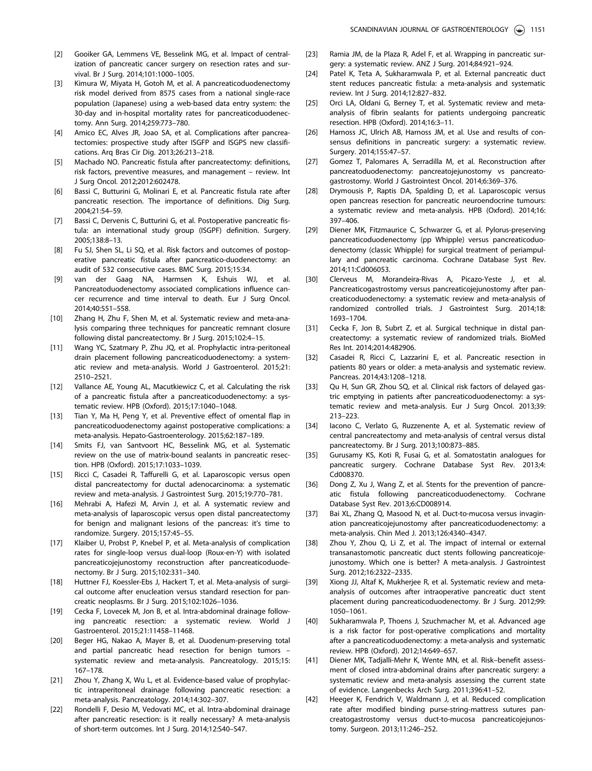- <span id="page-4-0"></span>[\[2\] G](#page-0-0)ooiker GA, Lemmens VE, Besselink MG, et al. Impact of centralization of pancreatic cancer surgery on resection rates and survival. Br J Surg. 2014;101:1000–1005.
- [\[3\] K](#page-0-0)imura W, Miyata H, Gotoh M, et al. A pancreaticoduodenectomy risk model derived from 8575 cases from a national single-race population (Japanese) using a web-based data entry system: the 30-day and in-hospital mortality rates for pancreaticoduodenectomy. Ann Surg. 2014;259:773–780.
- [4] Amico EC, Alves JR, Joao SA, et al. Complications after pancreatectomies: prospective study after ISGFP and ISGPS new classifications. Arq Bras Cir Dig. 2013;26:213–218.
- [5] Machado NO. Pancreatic fistula after pancreatectomy: definitions, risk factors, preventive measures, and management – review. Int J Surg Oncol. 2012;2012:602478.
- [\[6\] B](#page-0-0)assi C, Butturini G, Molinari E, et al. Pancreatic fistula rate after pancreatic resection. The importance of definitions. Dig Surg. 2004;21:54–59.
- [\[7\] B](#page-0-0)assi C, Dervenis C, Butturini G, et al. Postoperative pancreatic fistula: an international study group (ISGPF) definition. Surgery. 2005;138:8–13.
- [\[8\] F](#page-0-0)u SJ, Shen SL, Li SQ, et al. Risk factors and outcomes of postoperative pancreatic fistula after pancreatico-duodenectomy: an audit of 532 consecutive cases. BMC Surg. 2015;15:34.
- [\[9\] v](#page-0-0)an der Gaag NA, Harmsen K, Eshuis WJ, et al. Pancreatoduodenectomy associated complications influence cancer recurrence and time interval to death. Eur J Surg Oncol. 2014;40:551–558.
- [\[10\] Z](#page-1-0)hang H, Zhu F, Shen M, et al. Systematic review and meta-analysis comparing three techniques for pancreatic remnant closure following distal pancreatectomy. Br J Surg. 2015;102:4–15.
- [\[11\] W](#page-3-0)ang YC, Szatmary P, Zhu JQ, et al. Prophylactic intra-peritoneal drain placement following pancreaticoduodenectomy: a systematic review and meta-analysis. World J Gastroenterol. 2015;21: 2510–2521.
- [12] Vallance AE, Young AL, Macutkiewicz C, et al. Calculating the risk of a pancreatic fistula after a pancreaticoduodenectomy: a systematic review. HPB (Oxford). 2015;17:1040–1048.
- [13] Tian Y, Ma H, Peng Y, et al. Preventive effect of omental flap in pancreaticoduodenectomy against postoperative complications: a meta-analysis. Hepato-Gastroenterology. 2015;62:187–189.
- [14] Smits FJ, van Santvoort HC, Besselink MG, et al. Systematic review on the use of matrix-bound sealants in pancreatic resection. HPB (Oxford). 2015;17:1033–1039.
- [15] Ricci C, Casadei R, Taffurelli G, et al. Laparoscopic versus open distal pancreatectomy for ductal adenocarcinoma: a systematic review and meta-analysis. J Gastrointest Surg. 2015;19:770–781.
- [\[16\] M](#page-1-0)ehrabi A, Hafezi M, Arvin J, et al. A systematic review and meta-analysis of laparoscopic versus open distal pancreatectomy for benign and malignant lesions of the pancreas: it's time to randomize. Surgery. 2015;157:45–55.
- [\[17\] K](#page-2-0)laiber U, Probst P, Knebel P, et al. Meta-analysis of complication rates for single-loop versus dual-loop (Roux-en-Y) with isolated pancreaticojejunostomy reconstruction after pancreaticoduodenectomy. Br J Surg. 2015;102:331–340.
- [18] Huttner FJ, Koessler-Ebs J, Hackert T, et al. Meta-analysis of surgical outcome after enucleation versus standard resection for pancreatic neoplasms. Br J Surg. 2015;102:1026–1036.
- [19] Cecka F, Lovecek M, Jon B, et al. Intra-abdominal drainage following pancreatic resection: a systematic review. World J Gastroenterol. 2015;21:11458–11468.
- [20] Beger HG, Nakao A, Mayer B, et al. Duodenum-preserving total and partial pancreatic head resection for benign tumors – systematic review and meta-analysis. Pancreatology. 2015;15: 167–178.
- [21] Zhou Y, Zhang X, Wu L, et al. Evidence-based value of prophylactic intraperitoneal drainage following pancreatic resection: a meta-analysis. Pancreatology. 2014;14:302–307.
- [22] Rondelli F, Desio M, Vedovati MC, et al. Intra-abdominal drainage after pancreatic resection: is it really necessary? A meta-analysis of short-term outcomes. Int J Surg. 2014;12:S40–S47.
- [\[23\] R](#page-1-0)amia JM, de la Plaza R, Adel F, et al. Wrapping in pancreatic surgery: a systematic review. ANZ J Surg. 2014;84:921–924.
- [\[24\] P](#page-2-0)atel K, Teta A, Sukharamwala P, et al. External pancreatic duct stent reduces pancreatic fistula: a meta-analysis and systematic review. Int J Surg. 2014;12:827–832.
- [\[25\] O](#page-3-0)rci LA, Oldani G, Berney T, et al. Systematic review and metaanalysis of fibrin sealants for patients undergoing pancreatic resection. HPB (Oxford). 2014;16:3–11.
- [\[26\] H](#page-1-0)arnoss JC, Ulrich AB, Harnoss JM, et al. Use and results of consensus definitions in pancreatic surgery: a systematic review. Surgery. 2014;155:47–57.
- [27] Gomez T, Palomares A, Serradilla M, et al. Reconstruction after pancreatoduodenectomy: pancreatojejunostomy vs pancreatogastrostomy. World J Gastrointest Oncol. 2014;6:369–376.
- [28] Drymousis P, Raptis DA, Spalding D, et al. Laparoscopic versus open pancreas resection for pancreatic neuroendocrine tumours: a systematic review and meta-analysis. HPB (Oxford). 2014;16: 397–406.
- [\[29\] D](#page-1-0)iener MK, Fitzmaurice C, Schwarzer G, et al. Pylorus-preserving pancreaticoduodenectomy (pp Whipple) versus pancreaticoduodenectomy (classic Whipple) for surgical treatment of periampullary and pancreatic carcinoma. Cochrane Database Syst Rev. 2014;11:Cd006053.
- [30] Clerveus M, Morandeira-Rivas A, Picazo-Yeste J, et al. Pancreaticogastrostomy versus pancreaticojejunostomy after pancreaticoduodenectomy: a systematic review and meta-analysis of randomized controlled trials. J Gastrointest Surg. 2014;18: 1693–1704.
- [31] Cecka F, Jon B, Subrt Z, et al. Surgical technique in distal pancreatectomy: a systematic review of randomized trials. BioMed Res Int. 2014;2014:482906.
- [32] Casadei R, Ricci C, Lazzarini E, et al. Pancreatic resection in patients 80 years or older: a meta-analysis and systematic review. Pancreas. 2014;43:1208–1218.
- [33] Qu H, Sun GR, Zhou SQ, et al. Clinical risk factors of delayed gastric emptying in patients after pancreaticoduodenectomy: a systematic review and meta-analysis. Eur J Surg Oncol. 2013;39: 213–223.
- [34] Iacono C, Verlato G, Ruzzenente A, et al. Systematic review of central pancreatectomy and meta-analysis of central versus distal pancreatectomy. Br J Surg. 2013;100:873–885.
- [\[35\] G](#page-1-0)urusamy KS, Koti R, Fusai G, et al. Somatostatin analogues for pancreatic surgery. Cochrane Database Syst Rev. 2013;4: Cd008370.
- [\[36\] D](#page-1-0)ong Z, Xu J, Wang Z, et al. Stents for the prevention of pancreatic fistula following pancreaticoduodenectomy. Cochrane Database Syst Rev. 2013;6:CD008914.
- [37] Bai XL, Zhang Q, Masood N, et al. Duct-to-mucosa versus invagination pancreaticojejunostomy after pancreaticoduodenectomy: a meta-analysis. Chin Med J. 2013;126:4340–4347.
- [38] Zhou Y, Zhou Q, Li Z, et al. The impact of internal or external transanastomotic pancreatic duct stents following pancreaticojejunostomy. Which one is better? A meta-analysis. J Gastrointest Surg. 2012;16:2322–2335.
- [39] Xiong JJ, Altaf K, Mukherjee R, et al. Systematic review and metaanalysis of outcomes after intraoperative pancreatic duct stent placement during pancreaticoduodenectomy. Br J Surg. 2012;99: 1050–1061.
- [40] Sukharamwala P, Thoens J, Szuchmacher M, et al. Advanced age is a risk factor for post-operative complications and mortality after a pancreaticoduodenectomy: a meta-analysis and systematic review. HPB (Oxford). 2012;14:649–657.
- [41] Diener MK, Tadjalli-Mehr K, Wente MN, et al. Risk–benefit assessment of closed intra-abdominal drains after pancreatic surgery: a systematic review and meta-analysis assessing the current state of evidence. Langenbecks Arch Surg. 2011;396:41–52.
- [42] Heeger K, Fendrich V, Waldmann J, et al. Reduced complication rate after modified binding purse-string-mattress sutures pancreatogastrostomy versus duct-to-mucosa pancreaticojejunostomy. Surgeon. 2013;11:246–252.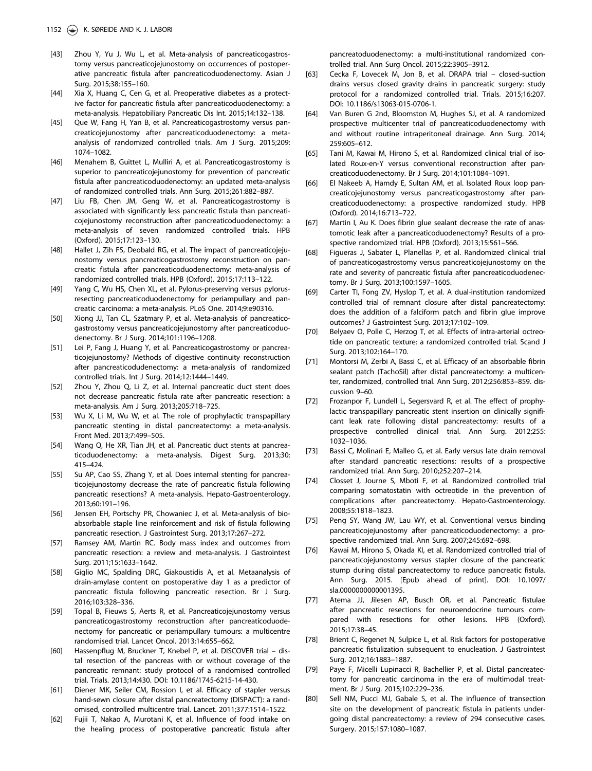- <span id="page-5-0"></span>[\[43\] Z](#page-1-0)hou Y, Yu J, Wu L, et al. Meta-analysis of pancreaticogastrostomy versus pancreaticojejunostomy on occurrences of postoperative pancreatic fistula after pancreaticoduodenectomy. Asian J Surg. 2015;38:155–160.
- [44] Xia X, Huang C, Cen G, et al. Preoperative diabetes as a protective factor for pancreatic fistula after pancreaticoduodenectomy: a meta-analysis. Hepatobiliary Pancreatic Dis Int. 2015;14:132–138.
- [\[45\] Q](#page-1-0)ue W, Fang H, Yan B, et al. Pancreaticogastrostomy versus pancreaticojejunostomy after pancreaticoduodenectomy: a metaanalysis of randomized controlled trials. Am J Surg. 2015;209: 1074–1082.
- [46] Menahem B, Guittet L, Mulliri A, et al. Pancreaticogastrostomy is superior to pancreaticojejunostomy for prevention of pancreatic fistula after pancreaticoduodenectomy: an updated meta-analysis of randomized controlled trials. Ann Surg. 2015;261:882–887.
- [\[47\] L](#page-1-0)iu FB, Chen JM, Geng W, et al. Pancreaticogastrostomy is associated with significantly less pancreatic fistula than pancreaticojejunostomy reconstruction after pancreaticoduodenectomy: a meta-analysis of seven randomized controlled trials. HPB (Oxford). 2015;17:123–130.
- [\[48\] H](#page-1-0)allet J, Zih FS, Deobald RG, et al. The impact of pancreaticojejunostomy versus pancreaticogastrostomy reconstruction on pancreatic fistula after pancreaticoduodenectomy: meta-analysis of randomized controlled trials. HPB (Oxford). 2015;17:113–122.
- [49] Yang C, Wu HS, Chen XL, et al. Pylorus-preserving versus pylorusresecting pancreaticoduodenectomy for periampullary and pancreatic carcinoma: a meta-analysis. PLoS One. 2014;9:e90316.
- [\[50\] X](#page-1-0)iong JJ, Tan CL, Szatmary P, et al. Meta-analysis of pancreaticogastrostomy versus pancreaticojejunostomy after pancreaticoduodenectomy. Br J Surg. 2014;101:1196–1208.
- [51] Lei P, Fang J, Huang Y, et al. Pancreaticogastrostomy or pancreaticojejunostomy? Methods of digestive continuity reconstruction after pancreaticodudenectomy: a meta-analysis of randomized controlled trials. Int J Surg. 2014;12:1444–1449.
- [\[52\] Z](#page-2-0)hou Y, Zhou Q, Li Z, et al. Internal pancreatic duct stent does not decrease pancreatic fistula rate after pancreatic resection: a meta-analysis. Am J Surg. 2013;205:718–725.
- [53] Wu X, Li M, Wu W, et al. The role of prophylactic transpapillary pancreatic stenting in distal pancreatectomy: a meta-analysis. Front Med. 2013;7:499–505.
- [54] Wang Q, He XR, Tian JH, et al. Pancreatic duct stents at pancreaticoduodenectomy: a meta-analysis. Digest Surg. 2013;30: 415–424.
- [55] Su AP, Cao SS, Zhang Y, et al. Does internal stenting for pancreaticojejunostomy decrease the rate of pancreatic fistula following pancreatic resections? A meta-analysis. Hepato-Gastroenterology. 2013;60:191–196.
- [56] Jensen EH, Portschy PR, Chowaniec J, et al. Meta-analysis of bioabsorbable staple line reinforcement and risk of fistula following pancreatic resection. J Gastrointest Surg. 2013;17:267–272.
- [57] Ramsey AM, Martin RC. Body mass index and outcomes from pancreatic resection: a review and meta-analysis. J Gastrointest Surg. 2011;15:1633–1642.
- [58] Giglio MC, Spalding DRC, Giakoustidis A, et al. Metaanalysis of drain-amylase content on postoperative day 1 as a predictor of pancreatic fistula following pancreatic resection. Br J Surg. 2016;103:328–336.
- [\[59\] T](#page-1-0)opal B, Fieuws S, Aerts R, et al. Pancreaticojejunostomy versus pancreaticogastrostomy reconstruction after pancreaticoduodenectomy for pancreatic or periampullary tumours: a multicentre randomised trial. Lancet Oncol. 2013;14:655–662.
- [60] Hassenpflug M, Bruckner T, Knebel P, et al. DISCOVER trial distal resection of the pancreas with or without coverage of the pancreatic remnant: study protocol of a randomised controlled trial. Trials. 2013;14:430. DOI: 10.1186/1745-6215-14-430.
- [\[61\] D](#page-1-0)iener MK, Seiler CM, Rossion I, et al. Efficacy of stapler versus hand-sewn closure after distal pancreatectomy (DISPACT): a randomised, controlled multicentre trial. Lancet. 2011;377:1514–1522.
- [62] Fujii T, Nakao A, Murotani K, et al. Influence of food intake on the healing process of postoperative pancreatic fistula after

pancreatoduodenectomy: a multi-institutional randomized controlled trial. Ann Surg Oncol. 2015;22:3905–3912.

- [\[63\] C](#page-3-0)ecka F, Lovecek M, Jon B, et al. DRAPA trial closed-suction drains versus closed gravity drains in pancreatic surgery: study protocol for a randomized controlled trial. Trials. 2015;16:207. DOI: 10.1186/s13063-015-0706-1.
- [\[64\] V](#page-3-0)an Buren G 2nd, Bloomston M, Hughes SJ, et al. A randomized prospective multicenter trial of pancreaticoduodenectomy with and without routine intraperitoneal drainage. Ann Surg. 2014; 259:605–612.
- [\[65\] T](#page-1-0)ani M, Kawai M, Hirono S, et al. Randomized clinical trial of isolated Roux-en-Y versus conventional reconstruction after pancreaticoduodenectomy. Br J Surg. 2014;101:1084–1091.
- [66] El Nakeeb A, Hamdy E, Sultan AM, et al. Isolated Roux loop pancreaticojejunostomy versus pancreaticogastrostomy after pancreaticoduodenectomy: a prospective randomized study. HPB (Oxford). 2014;16:713–722.
- [67] Martin I, Au K. Does fibrin glue sealant decrease the rate of anastomotic leak after a pancreaticoduodenectomy? Results of a prospective randomized trial. HPB (Oxford). 2013;15:561–566.
- [68] Figueras J, Sabater L, Planellas P, et al. Randomized clinical trial of pancreaticogastrostomy versus pancreaticojejunostomy on the rate and severity of pancreatic fistula after pancreaticoduodenectomy. Br J Surg. 2013;100:1597–1605.
- [69] Carter TI, Fong ZV, Hyslop T, et al. A dual-institution randomized controlled trial of remnant closure after distal pancreatectomy: does the addition of a falciform patch and fibrin glue improve outcomes? J Gastrointest Surg. 2013;17:102–109.
- [\[70\] B](#page-3-0)elyaev O, Polle C, Herzog T, et al. Effects of intra-arterial octreotide on pancreatic texture: a randomized controlled trial. Scand J Surg. 2013;102:164–170.
- [\[71\] M](#page-3-0)ontorsi M, Zerbi A, Bassi C, et al. Efficacy of an absorbable fibrin sealant patch (TachoSil) after distal pancreatectomy: a multicenter, randomized, controlled trial. Ann Surg. 2012;256:853–859. discussion 9–60.
- [72] Frozanpor F, Lundell L, Segersvard R, et al. The effect of prophylactic transpapillary pancreatic stent insertion on clinically significant leak rate following distal pancreatectomy: results of a prospective controlled clinical trial. Ann Surg. 2012;255: 1032–1036.
- [73] Bassi C, Molinari E, Malleo G, et al. Early versus late drain removal after standard pancreatic resections: results of a prospective randomized trial. Ann Surg. 2010;252:207–214.
- [74] Closset J, Journe S, Mboti F, et al. Randomized controlled trial comparing somatostatin with octreotide in the prevention of complications after pancreatectomy. Hepato-Gastroenterology. 2008;55:1818–1823.
- [\[75\] P](#page-2-0)eng SY, Wang JW, Lau WY, et al. Conventional versus binding pancreaticojejunostomy after pancreaticoduodenectomy: a prospective randomized trial. Ann Surg. 2007;245:692–698.
- [\[76\] K](#page-1-0)awai M, Hirono S, Okada KI, et al. Randomized controlled trial of pancreaticojejunostomy versus stapler closure of the pancreatic stump during distal pancreatectomy to reduce pancreatic fistula. Ann Surg. 2015. [Epub ahead of print]. DOI: 10.1097/ sla.0000000000001395.
- [\[77\] A](#page-1-0)tema JJ, Jilesen AP, Busch OR, et al. Pancreatic fistulae after pancreatic resections for neuroendocrine tumours compared with resections for other lesions. HPB (Oxford). 2015;17:38–45.
- [\[78\] B](#page-1-0)rient C, Regenet N, Sulpice L, et al. Risk factors for postoperative pancreatic fistulization subsequent to enucleation. J Gastrointest Surg. 2012;16:1883–1887.
- [\[79\] P](#page-1-0)aye F, Micelli Lupinacci R, Bachellier P, et al. Distal pancreatectomy for pancreatic carcinoma in the era of multimodal treatment. Br J Surg. 2015;102:229–236.
- [\[80\] S](#page-1-0)ell NM, Pucci MJ, Gabale S, et al. The influence of transection site on the development of pancreatic fistula in patients undergoing distal pancreatectomy: a review of 294 consecutive cases. Surgery. 2015;157:1080–1087.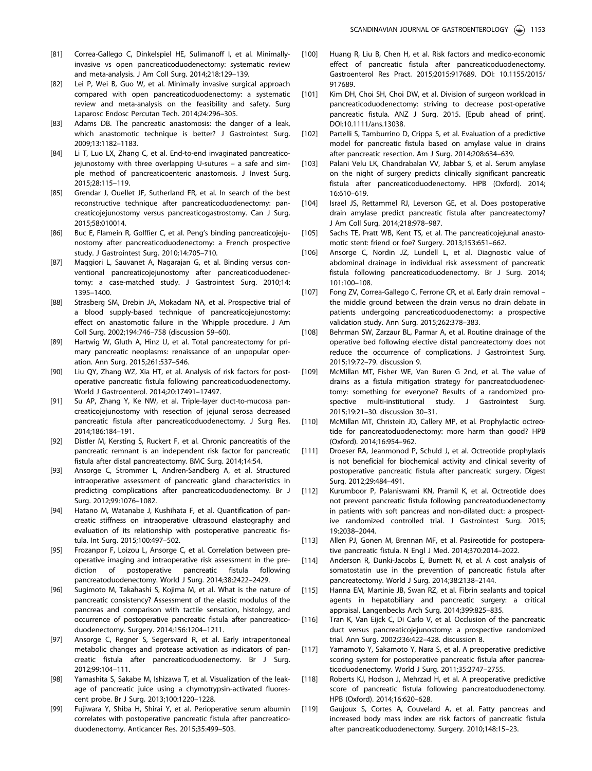- <span id="page-6-0"></span>[\[81\] C](#page-1-0)orrea-Gallego C, Dinkelspiel HE, Sulimanoff I, et al. Minimallyinvasive vs open pancreaticoduodenectomy: systematic review and meta-analysis. J Am Coll Surg. 2014;218:129–139.
- [\[82\] L](#page-1-0)ei P, Wei B, Guo W, et al. Minimally invasive surgical approach compared with open pancreaticoduodenectomy: a systematic review and meta-analysis on the feasibility and safety. Surg Laparosc Endosc Percutan Tech. 2014;24:296–305.
- [\[83\] A](#page-1-0)dams DB. The pancreatic anastomosis: the danger of a leak, which anastomotic technique is better? J Gastrointest Surg. 2009;13:1182–1183.
- [\[84\] L](#page-1-0)i T, Luo LX, Zhang C, et al. End-to-end invaginated pancreaticojejunostomy with three overlapping U-sutures – a safe and simple method of pancreaticoenteric anastomosis. J Invest Surg. 2015;28:115–119.
- [\[85\] G](#page-1-0)rendar J, Ouellet JF, Sutherland FR, et al. In search of the best reconstructive technique after pancreaticoduodenectomy: pancreaticojejunostomy versus pancreaticogastrostomy. Can J Surg. 2015;58:010014.
- [\[86\] B](#page-2-0)uc E, Flamein R, Golffier C, et al. Peng's binding pancreaticojejunostomy after pancreaticoduodenectomy: a French prospective study. J Gastrointest Surg. 2010;14:705–710.
- [\[87\] M](#page-2-0)aggiori L, Sauvanet A, Nagarajan G, et al. Binding versus conventional pancreaticojejunostomy after pancreaticoduodenectomy: a case-matched study. J Gastrointest Surg. 2010;14: 1395–1400.
- [\[88\] S](#page-2-0)trasberg SM, Drebin JA, Mokadam NA, et al. Prospective trial of a blood supply-based technique of pancreaticojejunostomy: effect on anastomotic failure in the Whipple procedure. J Am Coll Surg. 2002;194:746–758 (discussion 59–60).
- [\[89\] H](#page-2-0)artwig W, Gluth A, Hinz U, et al. Total pancreatectomy for primary pancreatic neoplasms: renaissance of an unpopular operation. Ann Surg. 2015;261:537–546.
- [\[90\] L](#page-2-0)iu QY, Zhang WZ, Xia HT, et al. Analysis of risk factors for postoperative pancreatic fistula following pancreaticoduodenectomy. World J Gastroenterol. 2014;20:17491–17497.
- [\[91\] S](#page-2-0)u AP, Zhang Y, Ke NW, et al. Triple-layer duct-to-mucosa pancreaticojejunostomy with resection of jejunal serosa decreased pancreatic fistula after pancreaticoduodenectomy. J Surg Res. 2014;186:184–191.
- [\[92\] D](#page-2-0)istler M, Kersting S, Ruckert F, et al. Chronic pancreatitis of the pancreatic remnant is an independent risk factor for pancreatic fistula after distal pancreatectomy. BMC Surg. 2014;14:54.
- [\[93\] A](#page-2-0)nsorge C, Strommer L, Andren-Sandberg A, et al. Structured intraoperative assessment of pancreatic gland characteristics in predicting complications after pancreaticoduodenectomy. Br J Surg. 2012;99:1076–1082.
- [\[94\] H](#page-2-0)atano M, Watanabe J, Kushihata F, et al. Quantification of pancreatic stiffness on intraoperative ultrasound elastography and evaluation of its relationship with postoperative pancreatic fistula. Int Surg. 2015;100:497–502.
- [\[95\] F](#page-2-0)rozanpor F, Loizou L, Ansorge C, et al. Correlation between preoperative imaging and intraoperative risk assessment in the prediction of postoperative pancreatic fistula following pancreatoduodenectomy. World J Surg. 2014;38:2422–2429.
- [\[96\] S](#page-2-0)ugimoto M, Takahashi S, Kojima M, et al. What is the nature of pancreatic consistency? Assessment of the elastic modulus of the pancreas and comparison with tactile sensation, histology, and occurrence of postoperative pancreatic fistula after pancreaticoduodenectomy. Surgery. 2014;156:1204–1211.
- [\[97\] A](#page-2-0)nsorge C, Regner S, Segersvard R, et al. Early intraperitoneal metabolic changes and protease activation as indicators of pancreatic fistula after pancreaticoduodenectomy. Br J Surg. 2012;99:104–111.
- [\[98\] Y](#page-2-0)amashita S, Sakabe M, Ishizawa T, et al. Visualization of the leakage of pancreatic juice using a chymotrypsin-activated fluorescent probe. Br J Surg. 2013;100:1220–1228.
- [\[99\] F](#page-2-0)ujiwara Y, Shiba H, Shirai Y, et al. Perioperative serum albumin correlates with postoperative pancreatic fistula after pancreaticoduodenectomy. Anticancer Res. 2015;35:499–503.
- [100] Huang R, Liu B, Chen H, et al. Risk factors and medico-economic effect of pancreatic fistula after pancreaticoduodenectomy. Gastroenterol Res Pract. 2015;2015:917689. DOI: 10.1155/2015/ 917689.
- [101] Kim DH, Choi SH, Choi DW, et al. Division of surgeon workload in pancreaticoduodenectomy: striving to decrease post-operative pancreatic fistula. ANZ J Surg. 2015. [Epub ahead of print]. DOI:10.1111/ans.13038.
- [\[102\] P](#page-2-0)artelli S, Tamburrino D, Crippa S, et al. Evaluation of a predictive model for pancreatic fistula based on amylase value in drains after pancreatic resection. Am J Surg. 2014;208:634–639.
- [103] Palani Velu LK, Chandrabalan VV, Jabbar S, et al. Serum amylase on the night of surgery predicts clinically significant pancreatic fistula after pancreaticoduodenectomy. HPB (Oxford). 2014; 16:610–619.
- [104] Israel JS, Rettammel RJ, Leverson GE, et al. Does postoperative drain amylase predict pancreatic fistula after pancreatectomy? J Am Coll Surg. 2014;218:978–987.
- [\[105\] S](#page-2-0)achs TE, Pratt WB, Kent TS, et al. The pancreaticojejunal anastomotic stent: friend or foe? Surgery. 2013;153:651–662.
- [\[106\] A](#page-3-0)nsorge C, Nordin JZ, Lundell L, et al. Diagnostic value of abdominal drainage in individual risk assessment of pancreatic fistula following pancreaticoduodenectomy. Br J Surg. 2014; 101:100–108.
- [107] Fong ZV, Correa-Gallego C, Ferrone CR, et al. Early drain removal the middle ground between the drain versus no drain debate in patients undergoing pancreaticoduodenectomy: a prospective validation study. Ann Surg. 2015;262:378–383.
- [108] Behrman SW, Zarzaur BL, Parmar A, et al. Routine drainage of the operative bed following elective distal pancreatectomy does not reduce the occurrence of complications. J Gastrointest Surg. 2015;19:72–79. discussion 9.
- [109] McMillan MT, Fisher WE, Van Buren G 2nd, et al. The value of drains as a fistula mitigation strategy for pancreatoduodenectomy: something for everyone? Results of a randomized prospective multi-institutional study. J Gastrointest Surg. 2015;19:21–30. discussion 30–31.
- [\[110\] M](#page-3-0)cMillan MT, Christein JD, Callery MP, et al. Prophylactic octreotide for pancreatoduodenectomy: more harm than good? HPB (Oxford). 2014;16:954–962.
- [111] Droeser RA, Jeanmonod P, Schuld J, et al. Octreotide prophylaxis is not beneficial for biochemical activity and clinical severity of postoperative pancreatic fistula after pancreatic surgery. Digest Surg. 2012;29:484–491.
- [112] Kurumboor P, Palaniswami KN, Pramil K, et al. Octreotide does not prevent pancreatic fistula following pancreatoduodenectomy in patients with soft pancreas and non-dilated duct: a prospective randomized controlled trial. J Gastrointest Surg. 2015; 19:2038–2044.
- [\[113\] A](#page-3-0)llen PJ, Gonen M, Brennan MF, et al. Pasireotide for postoperative pancreatic fistula. N Engl J Med. 2014;370:2014–2022.
- [\[114\] A](#page-3-0)nderson R, Dunki-Jacobs E, Burnett N, et al. A cost analysis of somatostatin use in the prevention of pancreatic fistula after pancreatectomy. World J Surg. 2014;38:2138–2144.
- [\[115\] H](#page-3-0)anna EM, Martinie JB, Swan RZ, et al. Fibrin sealants and topical agents in hepatobiliary and pancreatic surgery: a critical appraisal. Langenbecks Arch Surg. 2014;399:825–835.
- [\[116\] T](#page-3-0)ran K, Van Eijck C, Di Carlo V, et al. Occlusion of the pancreatic duct versus pancreaticojejunostomy: a prospective randomized trial. Ann Surg. 2002;236:422–428. discussion 8.
- [\[117\] Y](#page-3-0)amamoto Y, Sakamoto Y, Nara S, et al. A preoperative predictive scoring system for postoperative pancreatic fistula after pancreaticoduodenectomy. World J Surg. 2011;35:2747–2755.
- [\[118\] R](#page-3-0)oberts KJ, Hodson J, Mehrzad H, et al. A preoperative predictive score of pancreatic fistula following pancreatoduodenectomy. HPB (Oxford). 2014;16:620–628.
- [\[119\] G](#page-3-0)aujoux S, Cortes A, Couvelard A, et al. Fatty pancreas and increased body mass index are risk factors of pancreatic fistula after pancreaticoduodenectomy. Surgery. 2010;148:15–23.